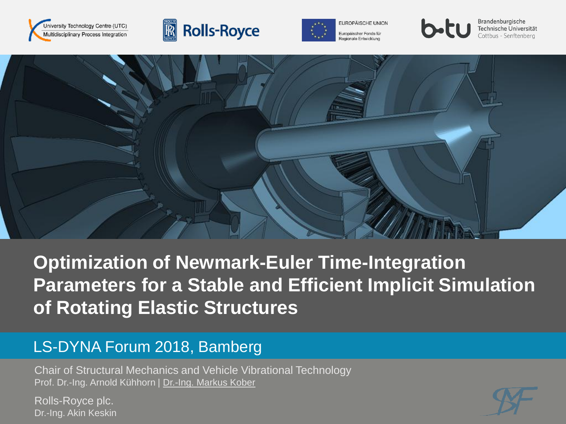





Europäischer Fonds für Regionale Entwicklung



Brandenburgische Technische Universität Cottbus - Senftenberg



# **Optimization of Newmark-Euler Time-Integration Parameters for a Stable and Efficient Implicit Simulation of Rotating Elastic Structures**

#### LS-DYNA Forum 2018, Bamberg

Chair of Structural Mechanics and Vehicle Vibrational Technology Prof. Dr.-Ing. Arnold Kühhorn | Dr.-Ing. Markus Kober

Chair of Structural Mechanics and Vehicle Vibrational Technology | Kober | Kühhorn 1 Dr.-Ing. Akin Keskin Rolls-Royce plc.

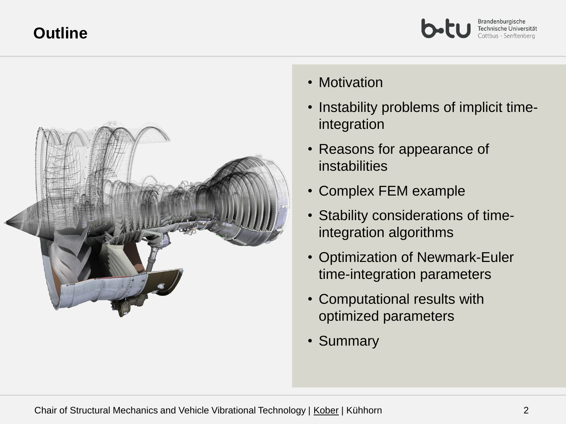#### **Outline**





- Motivation
- Instability problems of implicit timeintegration
- Reasons for appearance of instabilities
- Complex FEM example
- Stability considerations of timeintegration algorithms
- Optimization of Newmark-Euler time-integration parameters
- Computational results with optimized parameters
- Summary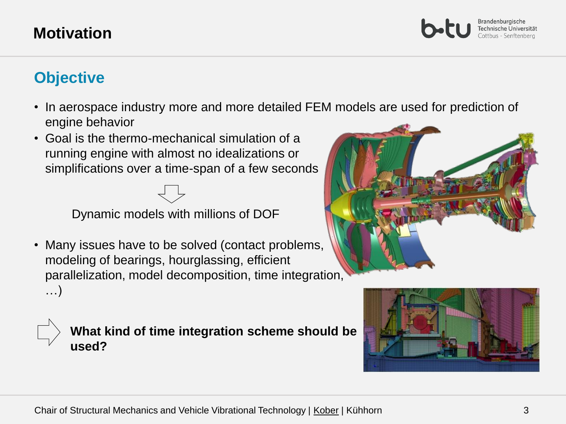#### **Motivation**

Brandenburgische Technische Universität ottbus - Senftenberg

## **Objective**

- In aerospace industry more and more detailed FEM models are used for prediction of engine behavior
- Goal is the thermo-mechanical simulation of a running engine with almost no idealizations or simplifications over a time-span of a few seconds

Dynamic models with millions of DOF

• Many issues have to be solved (contact problems, modeling of bearings, hourglassing, efficient parallelization, model decomposition, time integration, …)



**What kind of time integration scheme should be used?**



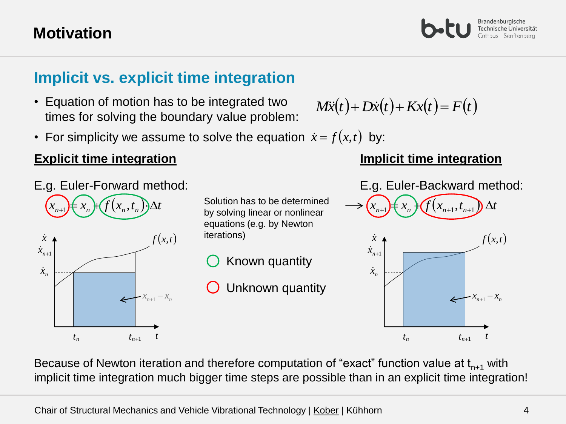### **Motivation**

### **Implicit vs. explicit time integration**

- Equation of motion has to be integrated two times for solving the boundary value problem:
- For simplicity we assume to solve the equation  $\dot{x} = f(x,t)$  by:

#### **Explicit time integration**



 $(x_{n+1}) \in x_n$   $\forall$   $(f(x_n, t_n)) \Delta t$  $n+1$ € *n*  $\mathcal{H}$  $f(x_n)$ , *n*  $\overline{\lambda}$ *x*  $f(x,t)$  $t_n$   $t_{n+1}$  $\dot{x}_{n+1}$ *n x*  $n+1$ <sup> $\alpha$ </sup> $n$  $x_{n+1} - x$ 

Solution has to be determined by solving linear or nonlinear equations (e.g. by Newton iterations)

- Known quantity
- Unknown quantity

$$
M\ddot{x}(t) + D\dot{x}(t) + Kx(t) = F(t)
$$

E.g. Euler-Backward method  
\n
$$
\begin{array}{ccc}\n\ddots & f(x_{n+1}) & f(x_{n+1}, t_{n+1}) \Delta t \\
\vdots & \vdots & \vdots \\
\ddots & \vdots & \vdots \\
\ddots & \vdots & \vdots \\
\ddots & \vdots & \vdots \\
\ddots & \vdots & \vdots \\
\ddots & \vdots & \vdots \\
\ddots & \vdots & \vdots \\
\ddots & \vdots & \vdots \\
\ddots & \vdots & \vdots \\
\ddots & \vdots & \vdots \\
\ddots & \vdots & \vdots \\
\ddots & \vdots & \vdots \\
\ddots & \vdots & \vdots \\
\ddots & \vdots & \vdots \\
\ddots & \vdots & \vdots \\
\ddots & \vdots & \vdots \\
\ddots & \vdots & \vdots \\
\ddots & \vdots & \vdots \\
\ddots & \vdots & \vdots \\
\ddots & \vdots & \vdots \\
\ddots & \vdots & \vdots \\
\ddots & \vdots & \vdots \\
\ddots & \vdots & \vdots \\
\ddots & \vdots & \vdots \\
\ddots & \vdots & \vdots \\
\ddots & \vdots & \vdots \\
\ddots & \vdots & \vdots \\
\ddots & \vdots & \vdots \\
\ddots & \vdots & \vdots \\
\ddots & \vdots & \vdots \\
\ddots & \vdots & \vdots \\
\ddots & \vdots & \vdots \\
\ddots & \vdots & \vdots \\
\ddots & \vdots & \vdots \\
\ddots & \vdots & \vdots \\
\ddots & \vdots & \vdots \\
\ddots & \vdots & \vdots \\
\ddots & \vdots & \vdots \\
\ddots & \vdots & \vdots \\
\ddots & \vdots & \vdots \\
\ddots & \vdots & \vdots \\
\ddots & \vdots & \vdots \\
\ddots & \vdots & \vdots \\
\ddots & \vdots & \vdots \\
\ddots & \vdots & \vdots \\
\ddots & \vdots & \vdots \\
\ddots & \vdots & \vdots \\
\ddots & \vdots & \vdots \\
\ddots & \vdots & \vdots \\
\ddots & \vdots & \vdots \\
\ddots & \vdots & \vdots \\
\ddots & \vdots & \vdots \\
\ddots & \vdots & \vdots \\
\ddots & \vdots & \vdots \\
\ddots & \vdots & \vdots \\
\ddots & \vdots & \vdots \\
\ddots & \vdots & \vdots \\
\ddots & \vdots & \vdots \\
\ddots & \vdots & \vdots \\
\ddots &
$$

**Implicit time integration**

Brandenburgische

Because of Newton iteration and therefore computation of "exact" function value at  $t_{n+1}$  with implicit time integration much bigger time steps are possible than in an explicit time integration!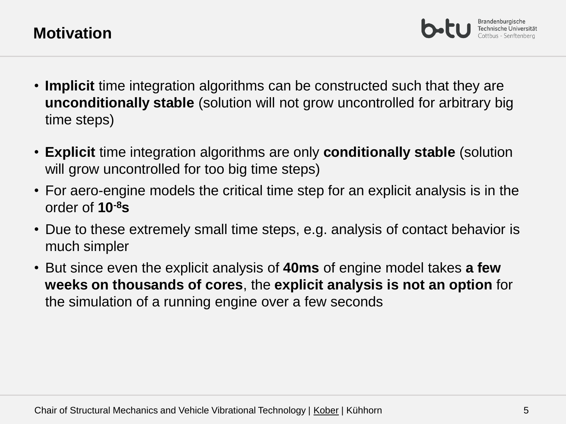Brandenburgische

- **Implicit** time integration algorithms can be constructed such that they are **unconditionally stable** (solution will not grow uncontrolled for arbitrary big time steps)
- **Explicit** time integration algorithms are only **conditionally stable** (solution will grow uncontrolled for too big time steps)
- For aero-engine models the critical time step for an explicit analysis is in the order of **10-8s**
- Due to these extremely small time steps, e.g. analysis of contact behavior is much simpler
- But since even the explicit analysis of **40ms** of engine model takes **a few weeks on thousands of cores**, the **explicit analysis is not an option** for the simulation of a running engine over a few seconds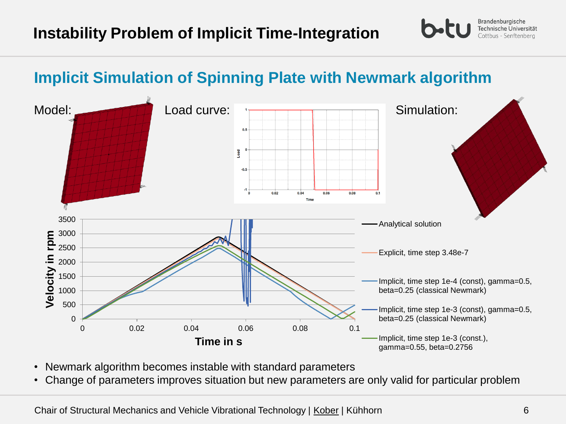## **Implicit Simulation of Spinning Plate with Newmark algorithm**



- Newmark algorithm becomes instable with standard parameters
- Change of parameters improves situation but new parameters are only valid for particular problem

Brandenburgische Technische Universität Cottbus - Senftenberg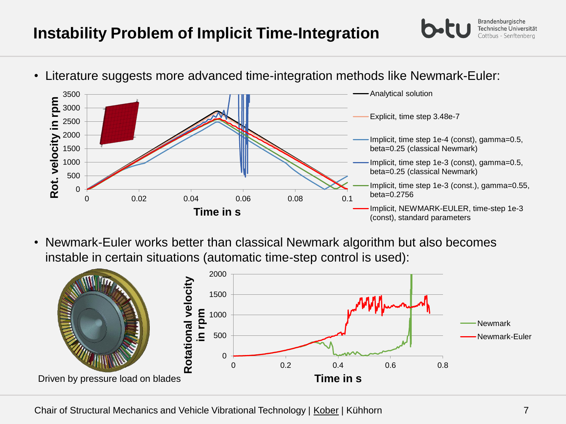## **Instability Problem of Implicit Time-Integration**

- 0 500 1000 1500 2000 2500 3000 3500 **Rot.**  0 0.02 0.04 0.06 0.08 0.1 **velocity in rpm Time in s** Analytical solution Explicit, time step 3.48e-7 Implicit, time step 1e-4 (const), gamma=0.5, beta=0.25 (classical Newmark) Implicit, time step 1e-3 (const), gamma=0.5, beta=0.25 (classical Newmark) Implicit, time step 1e-3 (const.), gamma=0.55, beta=0.2756 Implicit, NEWMARK-EULER, time-step 1e-3 (const), standard parameters • Literature suggests more advanced time-integration methods like Newmark-Euler:
- Newmark-Euler works better than classical Newmark algorithm but also becomes instable in certain situations (automatic time-step control is used):



Brandenburgische Technische Universität Cottbus - Senftenbera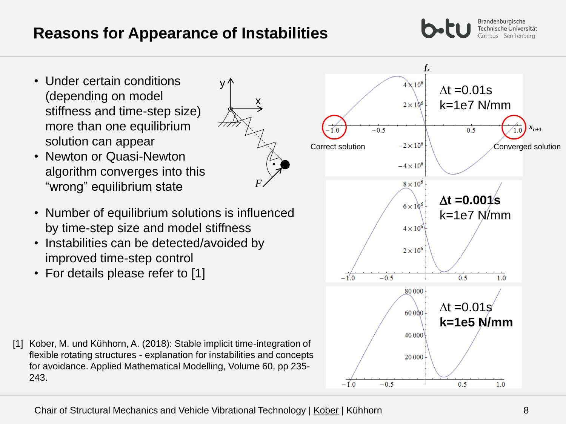- Under certain conditions (depending on model stiffness and time-step size) more than one equilibrium solution can appear
- Newton or Quasi-Newton algorithm converges into this "wrong" equilibrium state
- Number of equilibrium solutions is influenced by time-step size and model stiffness
- Instabilities can be detected/avoided by improved time-step control
- For details please refer to [1]

[1] Kober, M. und Kühhorn, A. (2018): Stable implicit time-integration of flexible rotating structures - explanation for instabilities and concepts for avoidance. Applied Mathematical Modelling, Volume 60, pp 235- 243.



Brandenburgische Technische Universität Cottbus - Senftenberg

*fx*



x

*F*

∨ ^

 $-1'$ .0

 $-1.0$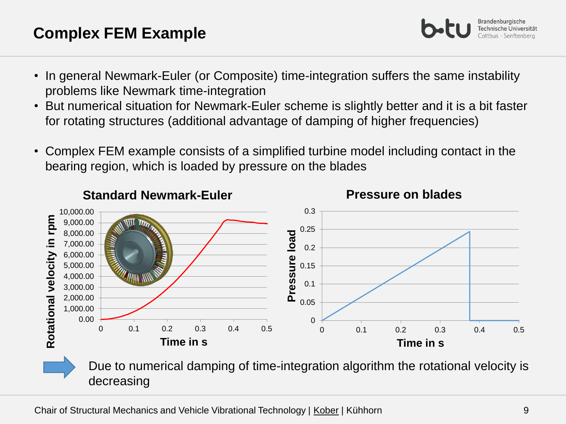## **Complex FEM Example**

- In general Newmark-Euler (or Composite) time-integration suffers the same instability problems like Newmark time-integration
- But numerical situation for Newmark-Euler scheme is slightly better and it is a bit faster for rotating structures (additional advantage of damping of higher frequencies)
- Complex FEM example consists of a simplified turbine model including contact in the bearing region, which is loaded by pressure on the blades



Due to numerical damping of time-integration algorithm the rotational velocity is decreasing

Brandenburgische Technische Universität :ottbus - Senftenbera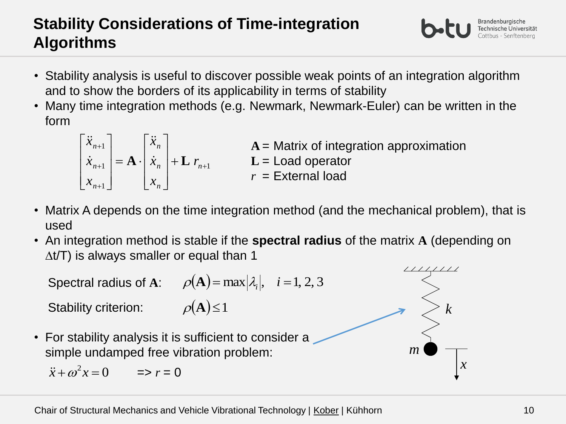## **Stability Considerations of Time-integration Algorithms**

- Stability analysis is useful to discover possible weak points of an integration algorithm and to show the borders of its applicability in terms of stability
- Many time integration methods (e.g. Newmark, Newmark-Euler) can be written in the form

1 1 1 1  $^{+}$  $^{+}$  $^{+}$  $^{+}$  $\ddot{}$  $\overline{\phantom{a}}$  $\overline{\phantom{a}}$  $\overline{\phantom{a}}$  $\rfloor$  $\overline{\phantom{a}}$  $\mathbf{L}$  $\overline{\phantom{a}}$  $\mathbf{r}$ L  $\overline{ }$  $= \mathbf{A} \cdot$  $\overline{\phantom{a}}$  $\overline{\phantom{a}}$  $\overline{\phantom{a}}$  $\rfloor$  $\overline{\phantom{a}}$  $\mathbf{r}$  $\mathbf{r}$  $\mathbf{r}$ L  $\overline{a}$ *n n n n n n n r x x x x x x*  $\mathbf{A} \cdot | \dot{x}_n | + \mathbf{L}$  $\ddot{x}$  $\dot{x}$  $\begin{bmatrix} \ddot{x}_{n+1} \end{bmatrix}$   $\begin{bmatrix} \ddot{x}_n \end{bmatrix}$  **A** = Matrix of integration approximation **L** = Load operator *r* = External load

- Matrix A depends on the time integration method (and the mechanical problem), that is used
- An integration method is stable if the **spectral radius** of the matrix **A** (depending on  $\Delta t/T$ ) is always smaller or equal than 1



Brandenburgische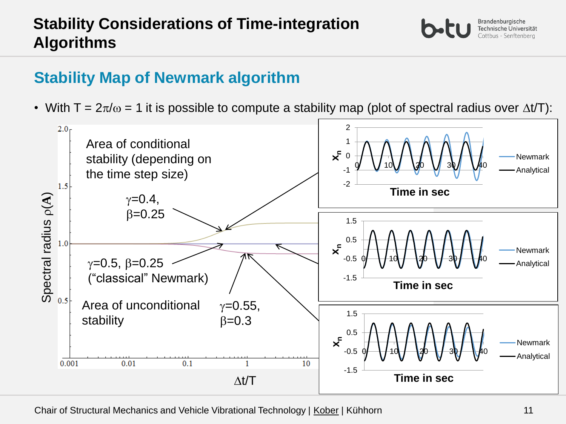## **Stability Map of Newmark algorithm**

• With T =  $2\pi/\omega$  = 1 it is possible to compute a stability map (plot of spectral radius over  $\Delta t/T$ ):



Chair of Structural Mechanics and Vehicle Vibrational Technology | Kober | Kühhorn 11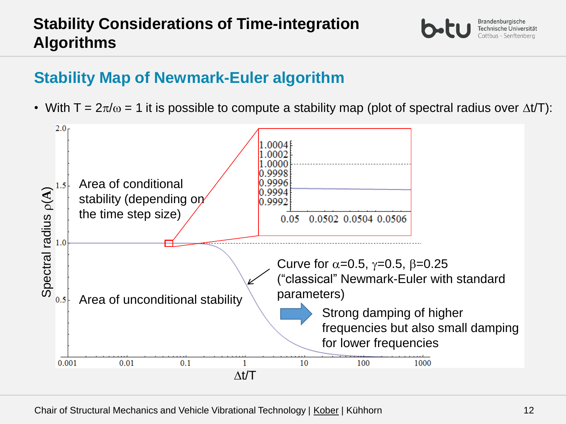## **Stability Considerations of Time-integration Algorithms**

## **Stability Map of Newmark-Euler algorithm**

• With T =  $2\pi/\omega$  = 1 it is possible to compute a stability map (plot of spectral radius over  $\Delta t/T$ ):

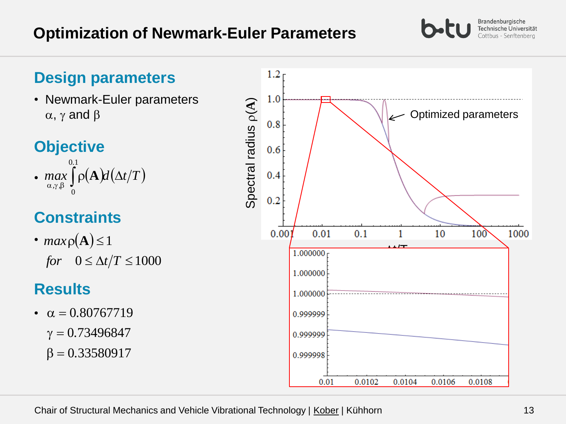#### **Optimization of Newmark-Euler Parameters**

#### **Design parameters**

• Newmark-Euler parameters  $\alpha$ ,  $\gamma$  and  $\beta$ 

## **Objective**

*max*  $\theta$   $\alpha$  *d*  $\alpha$  *d*  $(\Delta t/T)$ *.*  $\max_{\alpha,\gamma,\beta}\int\!\rho(\mathbf{A})\!d\big(\Delta$  $0.1$ 0 •  $max$  |  $\rho$ (**A** 

## **Constraints**

•  $maxp(\mathbf{A}) \leq 1$ for  $0 \le \Delta t/T \le 1000$ 

## **Results**

 $\beta = 0.33580917$  $\gamma = 0.73496847$ •  $\alpha = 0.80767719$ 



Chair of Structural Mechanics and Vehicle Vibrational Technology | Kober | Kühhorn 13

Brandenburgische Technische Universität Cottbus - Senftenberg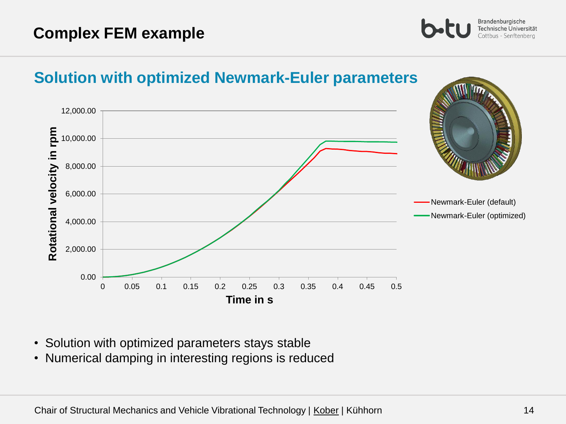## 12,000.00 Rotational velocity in rpm **Rotational velocity in rpm** 10,000.00 8,000.00 6,000.00 Newmark-Euler (default) Newmark-Euler (optimized)4,000.00 2,000.00 0.00 0 0.05 0.1 0.15 0.2 0.25 0.3 0.35 0.4 0.45 0.5 **Time in s**

**Solution with optimized Newmark-Euler parameters**

- Solution with optimized parameters stays stable
- Numerical damping in interesting regions is reduced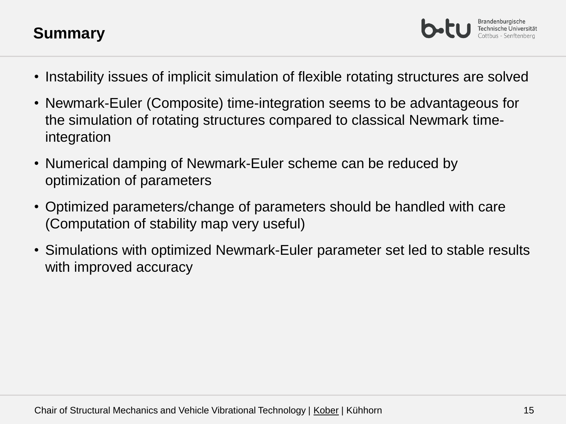## **Summary**

Brandenburgische

- Instability issues of implicit simulation of flexible rotating structures are solved
- Newmark-Euler (Composite) time-integration seems to be advantageous for the simulation of rotating structures compared to classical Newmark timeintegration
- Numerical damping of Newmark-Euler scheme can be reduced by optimization of parameters
- Optimized parameters/change of parameters should be handled with care (Computation of stability map very useful)
- Simulations with optimized Newmark-Euler parameter set led to stable results with improved accuracy